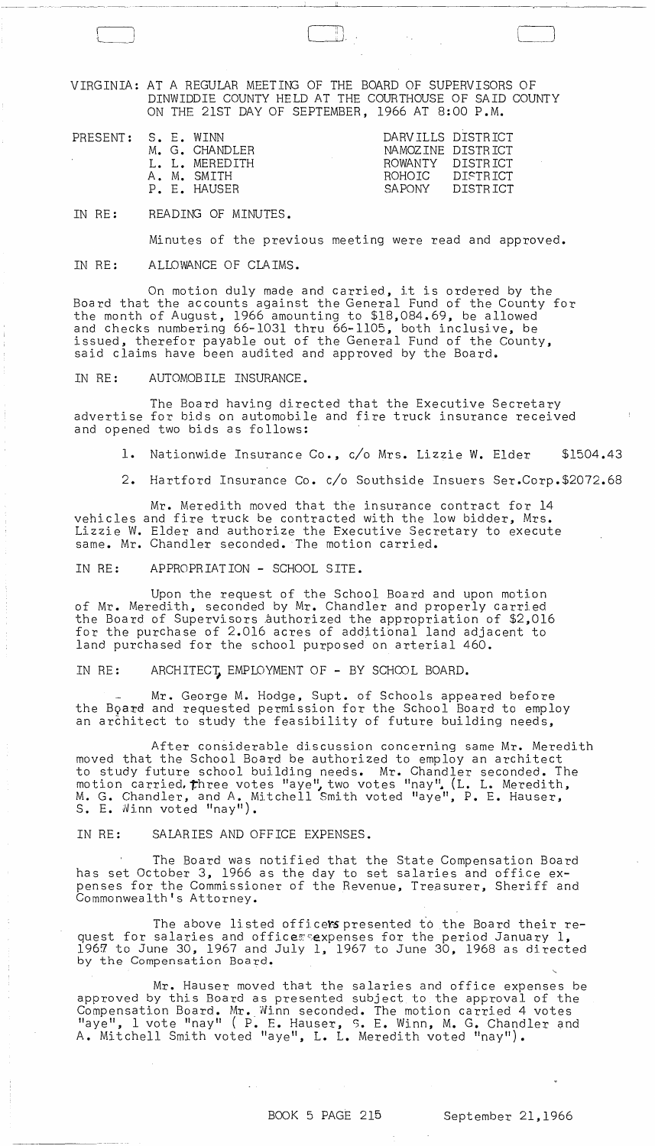VIRGINIA: AT A REGULAR MEETING OF THE BOARD OF SUPERVISORS OF DINWIDDIE COUNTY HELD AT THE COURTHOUSE OF SAID COUNTY ON THE 21ST DAY OF SEPTEMBER, 1966 AT 8:00 P.M.

| PRESENT: S. E. WINN |  | M. G. CHANDLER<br>L. L. MEREDITH<br>A. M. SMITH<br>P. E. HAUSER | DARVILLS DISTRICT<br>NAMOZINE DISTRICT<br>ROWANTY DISTRICT<br>ROHOTC DISTRICT<br>SA PONY | DISTRICT |
|---------------------|--|-----------------------------------------------------------------|------------------------------------------------------------------------------------------|----------|
|                     |  |                                                                 |                                                                                          |          |
|                     |  |                                                                 |                                                                                          |          |

IN RE: READING OF MINUTES.

 $\Box$ 

 $\left(\begin{array}{c} 1 \ 1 \end{array}\right)$ 

Minutes of the previous meeting were read and approved.

IN RE: ALLOWANCE OF CLAIMS.

On motion duly made and carried, it is ordered by the Board that the accounts against the General Fund of the County for the month of August, 1966 amounting to \$18.084.69. be allowed and checks numbering 66-1031 thru 66-1105, both inclusive, be issued, therefor payable out of the General Fund of the County, said claims have been audited and approved by the Board.

IN RE: AUTOMOBILE INSURANCE.

The Board having directed that the Executive Secretary advertise for bids on automobile and fire truck insurance received and opened two bids as follows:

1. Nationwide Insurance Co., c/o Mrs. Lizzie W. Elder \$1504.43

2. Hartford Insurance Co. c/o Southside Insuers Ser.Corp.\$2072.68

Mr. Meredith moved that the insurance contract for 14 vehicles and fire truck be contracted with the low bidder, Mrs. Lizzie W. Elder and authorize the Executive Secretary to execute same. Mr. Chandler seconded. The motion carried.

IN RE: APPROPRIATION - SCHOOL SITE.

Upon the request of the School Board and upon motion of Mr. Meredith, seconded by Mr. Chandler and properly carried the Board of Supervisors authorized the appropriation of \$2,016 for the purchase of 2.016 acres of additional land adjacent to land purchased for the school purposed on arterial 460.

IN RE: ARCHITECT, EMPLOYMENT OF - BY SCHOOL BOARD.

Mr. George M. Hodge. Supt. of Schools appeared before the Board and requested permission for the School Board to employ an architect to study the feasibility of future building needs,

After considerable discussion concerning same Mr. Meredith moved that the School Board be authorized to employ an architect to study future school building needs. Mr. Chandler seconded. The motion carried. three votes "aye", two votes "nay" (L. L. Meredith, M. G. Chandler. and A. Mitchell Smith voted "aye". P. E. Hauser. S. E. Winn voted "nay").

IN RE: SALARIES AND OFFICE EXPENSES.

The Board was notified that the State Compensation Board has set October 3, 1966 as the day to set salaries and office expenses for the Commissioner of the Revenue, Treasurer, Sheriff and Commonwealth's Attorney.

The above listed officers presented to the Board their request for salaries and office $z$  expenses for the period January  $1$ ,  $1967$  to June 30, 1967 and July 1, 1967 to June 30, 1968 as directed by the Compensation Board.

Mr. Hauser moved that the salaries and office expenses be approved by this Board as presented subject to the approval of the Compensation Board. Mr •. Ninn seconded. The motion carried 4 votes "aye". 1 vote "nay" ( P. E. Hauser, S. E. Winn, M. G. Chandler and A. Mitchell Smith voted "aye". L. L. Meredith voted "nay").

BOOK 5 PAGE 215 September 21.1966